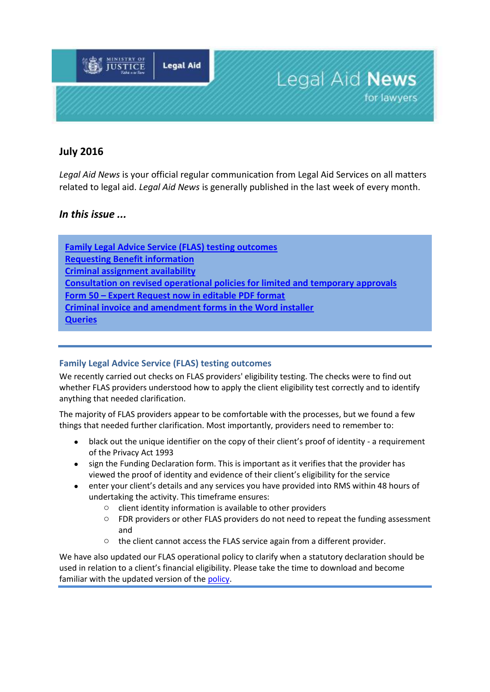

# **July 2016**

*Legal Aid News* is your official regular communication from Legal Aid Services on all matters related to legal aid. *Legal Aid News* is generally published in the last week of every month.

## *In this issue ...*

**[Family Legal Advice Service \(FLAS\) testing outcomes](#page-0-0) [Requesting Benefit information](#page-1-0) [Criminal assignment availability](#page-1-1) [Consultation on revised operational policies for limited and temporary approvals](#page-1-2) Form 50 – [Expert Request now in editable PDF format](#page-1-3) [Criminal invoice and amendment forms in the Word installer](#page-2-0) Queries**

## <span id="page-0-0"></span>**Family Legal Advice Service (FLAS) testing outcomes**

We recently carried out checks on FLAS providers' eligibility testing. The checks were to find out whether FLAS providers understood how to apply the client eligibility test correctly and to identify anything that needed clarification.

The majority of FLAS providers appear to be comfortable with the processes, but we found a few things that needed further clarification. Most importantly, providers need to remember to:

- black out the unique identifier on the copy of their client's proof of identity a requirement of the Privacy Act 1993
- sign the Funding Declaration form. This is important as it verifies that the provider has viewed the proof of identity and evidence of their client's eligibility for the service
- enter your client's details and any services you have provided into RMS within 48 hours of undertaking the activity. This timeframe ensures:
	- o client identity information is available to other providers
	- o FDR providers or other FLAS providers do not need to repeat the funding assessment and
	- $\circ$  the client cannot access the FLAS service again from a different provider.

We have also updated our FLAS operational policy to clarify when a statutory declaration should be used in relation to a client's financial eligibility. Please take the time to download and become familiar with the updated version of th[e policy.](http://www.justice.govt.nz/about/lawyers-and-service-providers/legal-aid-lawyers/family-legal-advice-service/)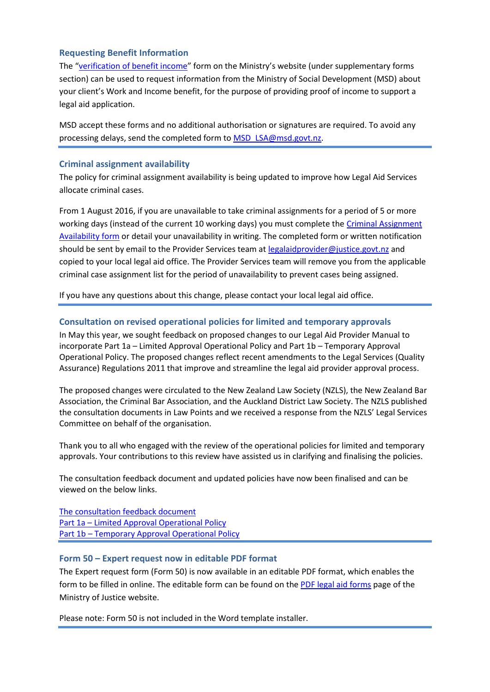### <span id="page-1-0"></span>**Requesting Benefit Information**

The "[verification of benefit income](https://www.justice.govt.nz/about/lawyers-and-service-providers/legal-aid-lawyers/forms/pdf-legal-aid-forms/)" form on the Ministry's website (under supplementary forms section) can be used to request information from the Ministry of Social Development (MSD) about your client's Work and Income benefit, for the purpose of providing proof of income to support a legal aid application.

MSD accept these forms and no additional authorisation or signatures are required. To avoid any processing delays, send the completed form t[o MSD\\_LSA@msd.govt.nz.](mailto:MSD_LSA@msd.govt.nz)

#### <span id="page-1-1"></span>**Criminal assignment availability**

The policy for criminal assignment availability is being updated to improve how Legal Aid Services allocate criminal cases.

From 1 August 2016, if you are unavailable to take criminal assignments for a period of 5 or more working days (instead of the current 10 working days) you must complete the [Criminal Assignment](http://www.justice.govt.nz/services/service-providers/information-for-legal-professionals/information-for-legal-aid-providers/documents/forms/current/applications-forms-and-guidelines-effective-from-1-july-2013-1/criminal-case-assignment-availabilty)  [Availability form](http://www.justice.govt.nz/services/service-providers/information-for-legal-professionals/information-for-legal-aid-providers/documents/forms/current/applications-forms-and-guidelines-effective-from-1-july-2013-1/criminal-case-assignment-availabilty) or detail your unavailability in writing. The completed form or written notification should be sent by email to the Provider Services team at [legalaidprovider@justice.govt.nz](mailto:legalaidprovider@justice.govt.nz) and copied to your local legal aid office. The Provider Services team will remove you from the applicable criminal case assignment list for the period of unavailability to prevent cases being assigned.

If you have any questions about this change, please contact your local legal aid office.

#### <span id="page-1-2"></span>**Consultation on revised operational policies for limited and temporary approvals**

In May this year, we sought feedback on proposed changes to our Legal Aid Provider Manual to incorporate Part 1a – Limited Approval Operational Policy and Part 1b – Temporary Approval Operational Policy. The proposed changes reflect recent amendments to the Legal Services (Quality Assurance) Regulations 2011 that improve and streamline the legal aid provider approval process.

The proposed changes were circulated to the New Zealand Law Society (NZLS), the New Zealand Bar Association, the Criminal Bar Association, and the Auckland District Law Society. The NZLS published the consultation documents in Law Points and we received a response from the NZLS' Legal Services Committee on behalf of the organisation.

Thank you to all who engaged with the review of the operational policies for limited and temporary approvals. Your contributions to this review have assisted us in clarifying and finalising the policies.

The consultation feedback document and updated policies have now been finalised and can be viewed on the below links.

[The consultation feedback document](http://www.justice.govt.nz/assets/Documents/Publications/limited-and-temporary-approval-operational-policies.pdf) Part 1a – [Limited Approval Operational Policy](http://www.justice.govt.nz/assets/Documents/Publications/provider-manual-1a-limited-approvals-operational-policy.pdf) Part 1b – [Temporary Approval Operational Policy](http://www.justice.govt.nz/assets/Documents/Publications/provider-manual-1b-temporary-approvals-operational-policy.pdf)

#### <span id="page-1-3"></span>**Form 50 – Expert request now in editable PDF format**

The Expert request form (Form 50) is now available in an editable PDF format, which enables the form to be filled in online. The editable form can be found on the [PDF legal aid forms](https://www.justice.govt.nz/about/lawyers-and-service-providers/legal-aid-lawyers/forms/pdf-legal-aid-forms/) page of the Ministry of Justice website.

Please note: Form 50 is not included in the Word template installer.